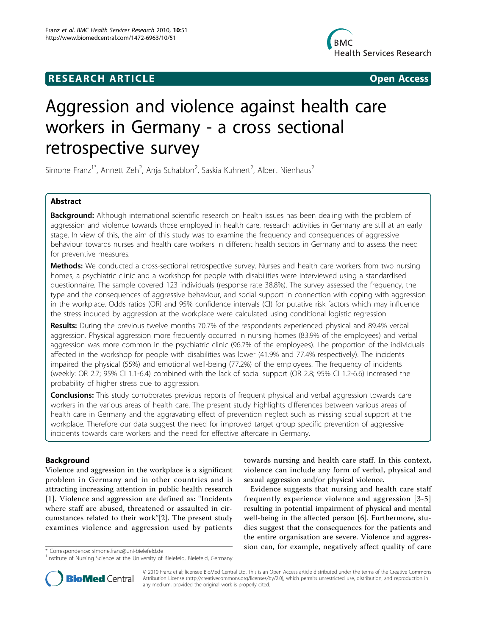## **RESEARCH ARTICLE Example 2018 12:00 Department of the CONNECTION CONNECTION CONNECTION**



# Aggression and violence against health care workers in Germany - a cross sectional retrospective survey

Simone Franz<sup>1\*</sup>, Annett Zeh<sup>2</sup>, Anja Schablon<sup>2</sup>, Saskia Kuhnert<sup>2</sup>, Albert Nienhaus<sup>2</sup>

## Abstract

Background: Although international scientific research on health issues has been dealing with the problem of aggression and violence towards those employed in health care, research activities in Germany are still at an early stage. In view of this, the aim of this study was to examine the frequency and consequences of aggressive behaviour towards nurses and health care workers in different health sectors in Germany and to assess the need for preventive measures.

Methods: We conducted a cross-sectional retrospective survey. Nurses and health care workers from two nursing homes, a psychiatric clinic and a workshop for people with disabilities were interviewed using a standardised questionnaire. The sample covered 123 individuals (response rate 38.8%). The survey assessed the frequency, the type and the consequences of aggressive behaviour, and social support in connection with coping with aggression in the workplace. Odds ratios (OR) and 95% confidence intervals (CI) for putative risk factors which may influence the stress induced by aggression at the workplace were calculated using conditional logistic regression.

Results: During the previous twelve months 70.7% of the respondents experienced physical and 89.4% verbal aggression. Physical aggression more frequently occurred in nursing homes (83.9% of the employees) and verbal aggression was more common in the psychiatric clinic (96.7% of the employees). The proportion of the individuals affected in the workshop for people with disabilities was lower (41.9% and 77.4% respectively). The incidents impaired the physical (55%) and emotional well-being (77.2%) of the employees. The frequency of incidents (weekly: OR 2.7; 95% CI 1.1-6.4) combined with the lack of social support (OR 2.8; 95% CI 1.2-6.6) increased the probability of higher stress due to aggression.

**Conclusions:** This study corroborates previous reports of frequent physical and verbal aggression towards care workers in the various areas of health care. The present study highlights differences between various areas of health care in Germany and the aggravating effect of prevention neglect such as missing social support at the workplace. Therefore our data suggest the need for improved target group specific prevention of aggressive incidents towards care workers and the need for effective aftercare in Germany.

## Background

Violence and aggression in the workplace is a significant problem in Germany and in other countries and is attracting increasing attention in public health research [[1](#page-6-0)]. Violence and aggression are defined as: "Incidents where staff are abused, threatened or assaulted in circumstances related to their work"[\[2](#page-6-0)]. The present study examines violence and aggression used by patients

towards nursing and health care staff. In this context, violence can include any form of verbal, physical and sexual aggression and/or physical violence.

Evidence suggests that nursing and health care staff frequently experience violence and aggression [[3](#page-6-0)-[5](#page-6-0)] resulting in potential impairment of physical and mental well-being in the affected person [[6\]](#page-6-0). Furthermore, studies suggest that the consequences for the patients and the entire organisation are severe. Violence and aggression can, for example, negatively affect quality of care \* Correspondence: [simone.franz@uni-bielefeld.de](mailto:simone.franz@uni-bielefeld.de)



© 2010 Franz et al; licensee BioMed Central Ltd. This is an Open Access article distributed under the terms of the Creative Commons Attribution License [\(http://creativecommons.org/licenses/by/2.0](http://creativecommons.org/licenses/by/2.0)), which permits unrestricted use, distribution, and reproduction in any medium, provided the original work is properly cited.

<sup>&</sup>lt;sup>1</sup>Institute of Nursing Science at the University of Bielefeld, Bielefeld, Germany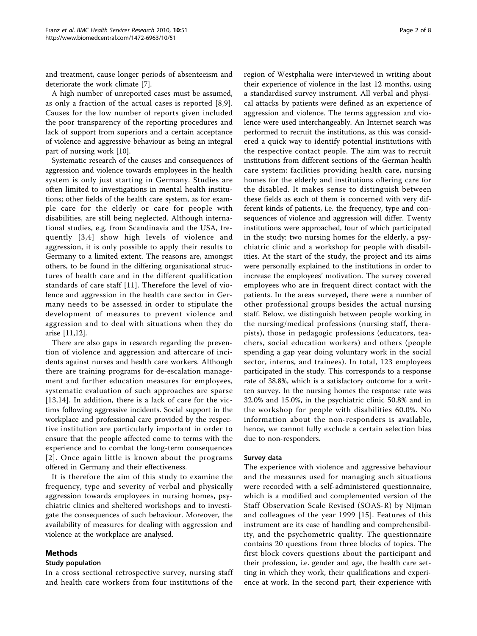and treatment, cause longer periods of absenteeism and deteriorate the work climate [[7](#page-6-0)].

A high number of unreported cases must be assumed, as only a fraction of the actual cases is reported [\[8,9\]](#page-6-0). Causes for the low number of reports given included the poor transparency of the reporting procedures and lack of support from superiors and a certain acceptance of violence and aggressive behaviour as being an integral part of nursing work [\[10](#page-6-0)].

Systematic research of the causes and consequences of aggression and violence towards employees in the health system is only just starting in Germany. Studies are often limited to investigations in mental health institutions; other fields of the health care system, as for example care for the elderly or care for people with disabilities, are still being neglected. Although international studies, e.g. from Scandinavia and the USA, frequently [[3,4\]](#page-6-0) show high levels of violence and aggression, it is only possible to apply their results to Germany to a limited extent. The reasons are, amongst others, to be found in the differing organisational structures of health care and in the different qualification standards of care staff [\[11](#page-6-0)]. Therefore the level of violence and aggression in the health care sector in Germany needs to be assessed in order to stipulate the development of measures to prevent violence and aggression and to deal with situations when they do arise [[11,12](#page-6-0)].

There are also gaps in research regarding the prevention of violence and aggression and aftercare of incidents against nurses and health care workers. Although there are training programs for de-escalation management and further education measures for employees, systematic evaluation of such approaches are sparse [[13](#page-6-0),[14\]](#page-6-0). In addition, there is a lack of care for the victims following aggressive incidents. Social support in the workplace and professional care provided by the respective institution are particularly important in order to ensure that the people affected come to terms with the experience and to combat the long-term consequences [[2\]](#page-6-0). Once again little is known about the programs offered in Germany and their effectiveness.

It is therefore the aim of this study to examine the frequency, type and severity of verbal and physically aggression towards employees in nursing homes, psychiatric clinics and sheltered workshops and to investigate the consequences of such behaviour. Moreover, the availability of measures for dealing with aggression and violence at the workplace are analysed.

## Methods

#### Study population

In a cross sectional retrospective survey, nursing staff and health care workers from four institutions of the

region of Westphalia were interviewed in writing about their experience of violence in the last 12 months, using a standardised survey instrument. All verbal and physical attacks by patients were defined as an experience of aggression and violence. The terms aggression and violence were used interchangeably. An Internet search was performed to recruit the institutions, as this was considered a quick way to identify potential institutions with the respective contact people. The aim was to recruit institutions from different sections of the German health care system: facilities providing health care, nursing homes for the elderly and institutions offering care for the disabled. It makes sense to distinguish between these fields as each of them is concerned with very different kinds of patients, i.e. the frequency, type and consequences of violence and aggression will differ. Twenty institutions were approached, four of which participated in the study: two nursing homes for the elderly, a psychiatric clinic and a workshop for people with disabilities. At the start of the study, the project and its aims were personally explained to the institutions in order to increase the employees' motivation. The survey covered employees who are in frequent direct contact with the patients. In the areas surveyed, there were a number of other professional groups besides the actual nursing staff. Below, we distinguish between people working in the nursing/medical professions (nursing staff, therapists), those in pedagogic professions (educators, teachers, social education workers) and others (people spending a gap year doing voluntary work in the social sector, interns, and trainees). In total, 123 employees participated in the study. This corresponds to a response rate of 38.8%, which is a satisfactory outcome for a written survey. In the nursing homes the response rate was 32.0% and 15.0%, in the psychiatric clinic 50.8% and in the workshop for people with disabilities 60.0%. No information about the non-responders is available, hence, we cannot fully exclude a certain selection bias due to non-responders.

#### Survey data

The experience with violence and aggressive behaviour and the measures used for managing such situations were recorded with a self-administered questionnaire, which is a modified and complemented version of the Staff Observation Scale Revised (SOAS-R) by Nijman and colleagues of the year 1999 [[15](#page-6-0)]. Features of this instrument are its ease of handling and comprehensibility, and the psychometric quality. The questionnaire contains 20 questions from three blocks of topics. The first block covers questions about the participant and their profession, i.e. gender and age, the health care setting in which they work, their qualifications and experience at work. In the second part, their experience with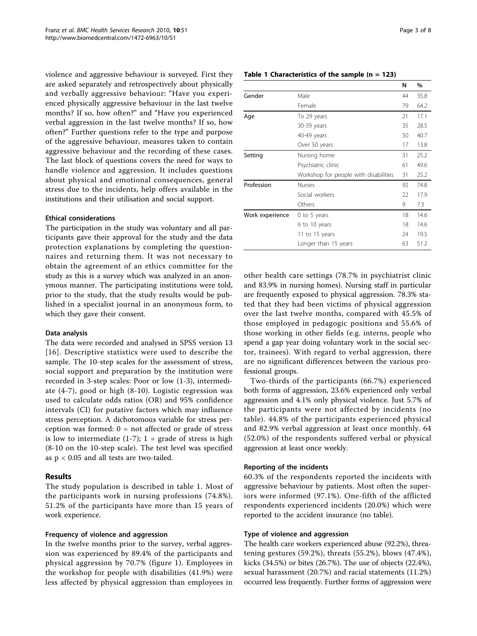violence and aggressive behaviour is surveyed. First they are asked separately and retrospectively about physically and verbally aggressive behaviour: "Have you experienced physically aggressive behaviour in the last twelve months? If so, how often?" and "Have you experienced verbal aggression in the last twelve months? If so, how often?" Further questions refer to the type and purpose of the aggressive behaviour, measures taken to contain aggressive behaviour and the recording of these cases. The last block of questions covers the need for ways to handle violence and aggression. It includes questions about physical and emotional consequences, general stress due to the incidents, help offers available in the institutions and their utilisation and social support.

#### Ethical considerations

The participation in the study was voluntary and all participants gave their approval for the study and the data protection explanations by completing the questionnaires and returning them. It was not necessary to obtain the agreement of an ethics committee for the study as this is a survey which was analyzed in an anonymous manner. The participating institutions were told, prior to the study, that the study results would be published in a specialist journal in an anonymous form, to which they gave their consent.

#### Data analysis

The data were recorded and analysed in SPSS version 13 [[16\]](#page-6-0). Descriptive statistics were used to describe the sample. The 10-step scales for the assessment of stress, social support and preparation by the institution were recorded in 3-step scales: Poor or low (1-3), intermediate (4-7), good or high (8-10). Logistic regression was used to calculate odds ratios (OR) and 95% confidence intervals (CI) for putative factors which may influence stress perception. A dichotomous variable for stress perception was formed:  $0 = not$  affected or grade of stress is low to intermediate  $(1-7)$ ;  $1 =$  grade of stress is high (8-10 on the 10-step scale). The test level was specified as p < 0.05 and all tests are two-tailed.

## Results

The study population is described in table 1. Most of the participants work in nursing professions (74.8%). 51.2% of the participants have more than 15 years of work experience.

## Frequency of violence and aggression

In the twelve months prior to the survey, verbal aggression was experienced by 89.4% of the participants and physical aggression by 70.7% (figure [1](#page-3-0)). Employees in the workshop for people with disabilities (41.9%) were less affected by physical aggression than employees in

|            | .                                     |    |      |
|------------|---------------------------------------|----|------|
|            |                                       | N  | %    |
| Gender     | Male                                  | 44 | 35.8 |
|            | Female                                | 79 | 64.2 |
| Aqe        | To 29 years                           | 21 | 17.1 |
|            | 30-39 years                           | 35 | 28.5 |
|            | 40-49 years                           | 50 | 40.7 |
|            | Over 50 years                         | 17 | 13.8 |
| Setting    | Nursing home                          | 31 | 25.2 |
|            | Psychiatric clinic                    | 61 | 49.6 |
|            | Workshop for people with disabilities | 31 | 25.2 |
| Profession | Nurses                                | 92 | 74.8 |
|            | Social workers                        | 22 | 17.9 |
|            | Others                                | 9  | 7.3  |

Work experience 0 to 5 years 18 14.6

6 to 10 years 18 14.6 11 to 15 years 24 19.5 Longer than 15 years 63 51.2

other health care settings (78.7% in psychiatrist clinic and 83.9% in nursing homes). Nursing staff in particular are frequently exposed to physical aggression. 78.3% stated that they had been victims of physical aggression over the last twelve months, compared with 45.5% of those employed in pedagogic positions and 55.6% of those working in other fields (e.g. interns, people who spend a gap year doing voluntary work in the social sector, trainees). With regard to verbal aggression, there are no significant differences between the various professional groups.

Two-thirds of the participants (66.7%) experienced both forms of aggression, 23.6% experienced only verbal aggression and 4.1% only physical violence. Just 5.7% of the participants were not affected by incidents (no table). 44.8% of the participants experienced physical and 82.9% verbal aggression at least once monthly. 64 (52.0%) of the respondents suffered verbal or physical aggression at least once weekly.

## Reporting of the incidents

60.3% of the respondents reported the incidents with aggressive behaviour by patients. Most often the superiors were informed (97.1%). One-fifth of the afflicted respondents experienced incidents (20.0%) which were reported to the accident insurance (no table).

## Type of violence and aggression

The health care workers experienced abuse (92.2%), threatening gestures (59.2%), threats (55.2%), blows (47.4%), kicks (34.5%) or bites (26.7%). The use of objects (22.4%), sexual harassment (20.7%) and racial statements (11.2%) occurred less frequently. Further forms of aggression were

#### Table 1 Characteristics of the sample  $(n = 123)$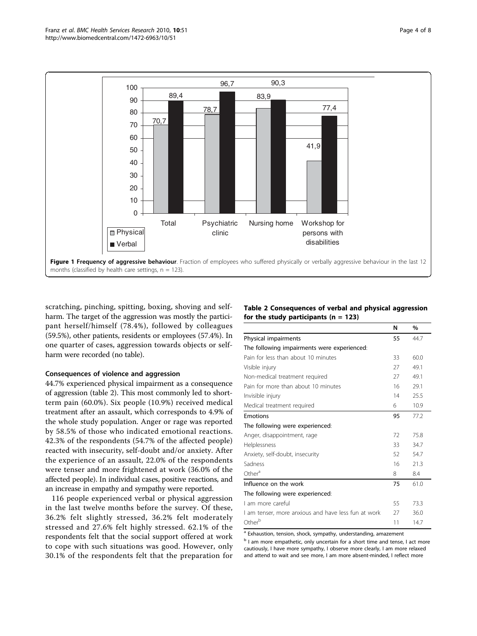<span id="page-3-0"></span>

scratching, pinching, spitting, boxing, shoving and selfharm. The target of the aggression was mostly the participant herself/himself (78.4%), followed by colleagues (59.5%), other patients, residents or employees (57.4%). In one quarter of cases, aggression towards objects or selfharm were recorded (no table).

## Consequences of violence and aggression

44.7% experienced physical impairment as a consequence of aggression (table 2). This most commonly led to shortterm pain (60.0%). Six people (10.9%) received medical treatment after an assault, which corresponds to 4.9% of the whole study population. Anger or rage was reported by 58.5% of those who indicated emotional reactions. 42.3% of the respondents (54.7% of the affected people) reacted with insecurity, self-doubt and/or anxiety. After the experience of an assault, 22.0% of the respondents were tenser and more frightened at work (36.0% of the affected people). In individual cases, positive reactions, and an increase in empathy and sympathy were reported.

116 people experienced verbal or physical aggression in the last twelve months before the survey. Of these, 36.2% felt slightly stressed, 36.2% felt moderately stressed and 27.6% felt highly stressed. 62.1% of the respondents felt that the social support offered at work to cope with such situations was good. However, only 30.1% of the respondents felt that the preparation for

## Table 2 Consequences of verbal and physical aggression for the study participants ( $n = 123$ )

|                                                     | N  | %    |
|-----------------------------------------------------|----|------|
| Physical impairments                                |    | 44.7 |
| The following impairments were experienced:         |    |      |
| Pain for less than about 10 minutes                 | 33 | 60.0 |
| Visible injury                                      | 27 | 49.1 |
| Non-medical treatment required                      | 27 | 49.1 |
| Pain for more than about 10 minutes                 | 16 | 29.1 |
| Invisible injury                                    | 14 | 25.5 |
| Medical treatment required                          | 6  | 10.9 |
| Emotions                                            | 95 | 77.2 |
| The following were experienced:                     |    |      |
| Anger, disappointment, rage                         | 72 | 75.8 |
| Helplessness                                        | 33 | 34.7 |
| Anxiety, self-doubt, insecurity                     | 52 | 54.7 |
| Sadness                                             | 16 | 21.3 |
| Other <sup>a</sup>                                  | 8  | 8.4  |
| Influence on the work                               | 75 | 61.0 |
| The following were experienced:                     |    |      |
| I am more careful                                   | 55 | 73.3 |
| I am tenser, more anxious and have less fun at work | 27 | 36.0 |
| Other <sup>b</sup>                                  | 11 | 14.7 |

<sup>a</sup> Exhaustion, tension, shock, sympathy, understanding, amazement

 $<sup>b</sup>$  I am more empathetic, only uncertain for a short time and tense, I act more</sup> cautiously, I have more sympathy, I observe more clearly, I am more relaxed and attend to wait and see more, I am more absent-minded, I reflect more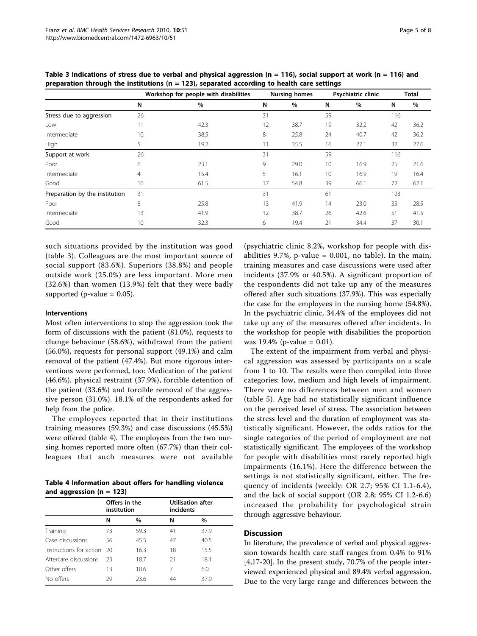|                                | Workshop for people with disabilities |      | <b>Nursing homes</b> |      | Psychiatric clinic |      | <b>Total</b> |      |
|--------------------------------|---------------------------------------|------|----------------------|------|--------------------|------|--------------|------|
|                                | N                                     | $\%$ | N                    | $\%$ | N                  | $\%$ | N            | $\%$ |
| Stress due to aggression       | 26                                    |      | 31                   |      | 59                 |      | 116          |      |
| Low                            | 11                                    | 42.3 | 12                   | 38.7 | 19                 | 32.2 | 42           | 36.2 |
| Intermediate                   | 10                                    | 38.5 | 8                    | 25.8 | 24                 | 40.7 | 42           | 36.2 |
| High                           | 5                                     | 19.2 | 11                   | 35.5 | 16                 | 27.1 | 32           | 27.6 |
| Support at work                | 26                                    |      | 31                   |      | 59                 |      | 116          |      |
| Poor                           | 6                                     | 23.1 | 9                    | 29.0 | 10                 | 16.9 | 25           | 21.6 |
| Intermediate                   | $\overline{4}$                        | 15.4 | 5                    | 16.1 | 10 <sup>°</sup>    | 16.9 | 19           | 16.4 |
| Good                           | 16                                    | 61.5 | 17                   | 54.8 | 39                 | 66.1 | 72           | 62.1 |
| Preparation by the institution | 31                                    |      | 31                   |      | 61                 |      | 123          |      |
| Poor                           | 8                                     | 25.8 | 13                   | 41.9 | 14                 | 23.0 | 35           | 28.5 |
| Intermediate                   | 13                                    | 41.9 | 12                   | 38.7 | 26                 | 42.6 | 51           | 41.5 |
| Good                           | 10                                    | 32.3 | 6                    | 19.4 | 21                 | 34.4 | 37           | 30.1 |

Table 3 Indications of stress due to verbal and physical aggression (n = 116), social support at work (n = 116) and preparation through the institutions ( $n = 123$ ), separated according to health care settings

such situations provided by the institution was good (table 3). Colleagues are the most important source of social support (83.6%). Superiors (38.8%) and people outside work (25.0%) are less important. More men (32.6%) than women (13.9%) felt that they were badly supported (p-value  $= 0.05$ ).

#### Interventions

Most often interventions to stop the aggression took the form of discussions with the patient (81.0%), requests to change behaviour (58.6%), withdrawal from the patient (56.0%), requests for personal support (49.1%) and calm removal of the patient (47.4%). But more rigorous interventions were performed, too: Medication of the patient (46.6%), physical restraint (37.9%), forcible detention of the patient (33.6%) and forcible removal of the aggressive person (31.0%). 18.1% of the respondents asked for help from the police.

The employees reported that in their institutions training measures (59.3%) and case discussions (45.5%) were offered (table 4). The employees from the two nursing homes reported more often (67.7%) than their colleagues that such measures were not available

Table 4 Information about offers for handling violence and aggression ( $n = 123$ )

|                            | Offers in the<br>institution |      | <i>incidents</i> | <b>Utilisation after</b> |
|----------------------------|------------------------------|------|------------------|--------------------------|
|                            | N                            | $\%$ | N                | $\%$                     |
| Training                   | 73                           | 59.3 | 41               | 37.9                     |
| Case discussions           | 56                           | 45.5 | 47               | 40.5                     |
| Instructions for action 20 |                              | 16.3 | 18               | 15.5                     |
| Aftercare discussions      | フ3                           | 18.7 | 21               | 18.1                     |
| Other offers               | 13                           | 10.6 | 7                | 6.0                      |
| No offers                  | 29                           | 23.6 | 44               | 37.9                     |

(psychiatric clinic 8.2%, workshop for people with disabilities 9.7%, p-value =  $0.001$ , no table). In the main, training measures and case discussions were used after incidents (37.9% or 40.5%). A significant proportion of the respondents did not take up any of the measures offered after such situations (37.9%). This was especially the case for the employees in the nursing home (54.8%). In the psychiatric clinic, 34.4% of the employees did not take up any of the measures offered after incidents. In the workshop for people with disabilities the proportion was  $19.4\%$  (p-value = 0.01).

The extent of the impairment from verbal and physical aggression was assessed by participants on a scale from 1 to 10. The results were then compiled into three categories: low, medium and high levels of impairment. There were no differences between men and women (table [5](#page-5-0)). Age had no statistically significant influence on the perceived level of stress. The association between the stress level and the duration of employment was statistically significant. However, the odds ratios for the single categories of the period of employment are not statistically significant. The employees of the workshop for people with disabilities most rarely reported high impairments (16.1%). Here the difference between the settings is not statistically significant, either. The frequency of incidents (weekly: OR 2.7; 95% CI 1.1-6.4), and the lack of social support (OR 2.8; 95% CI 1.2-6.6) increased the probability for psychological strain through aggressive behaviour.

#### Discussion

In literature, the prevalence of verbal and physical aggression towards health care staff ranges from 0.4% to 91% [[4,17](#page-6-0)-[20](#page-7-0)]. In the present study, 70.7% of the people interviewed experienced physical and 89.4% verbal aggression. Due to the very large range and differences between the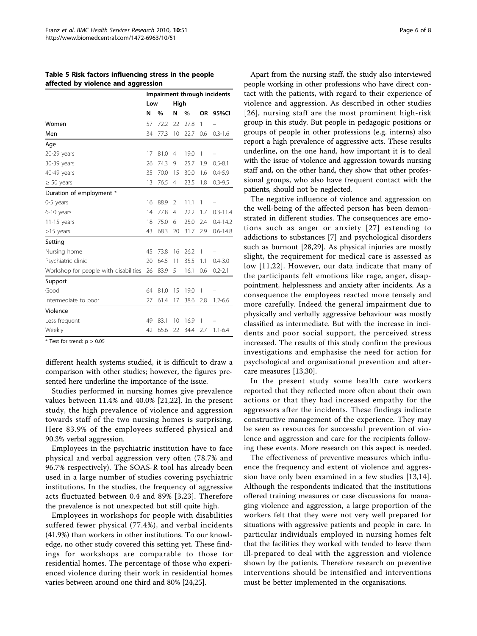<span id="page-5-0"></span>

| Table 5 Risk factors influencing stress in the people |  |
|-------------------------------------------------------|--|
| affected by violence and aggression                   |  |

|                                       | Impairment through incidents |      |                |      |           |              |
|---------------------------------------|------------------------------|------|----------------|------|-----------|--------------|
|                                       | Low                          |      | High           |      |           |              |
|                                       | N                            | %    | N              | %    | <b>OR</b> | 95%CI        |
| Women                                 | 57                           | 72.2 | 22             | 27.8 | 1         |              |
| Men                                   | 34                           | 77.3 | 10             | 22.7 | 0.6       | $0.3 - 1.6$  |
| Age                                   |                              |      |                |      |           |              |
| 20-29 years                           | 17                           | 81.0 | $\overline{4}$ | 19.0 | 1         |              |
| 30-39 years                           | 26                           | 74.3 | 9              | 25.7 | 1.9       | $0.5 - 8.1$  |
| 40-49 years                           | 35                           | 70.0 | 15             | 30.0 | 1.6       | $0.4 - 5.9$  |
| $\geq 50$ years                       | 13                           | 76.5 | $\overline{4}$ | 23.5 | 1.8       | $0.3 - 9.5$  |
| Duration of employment *              |                              |      |                |      |           |              |
| 0-5 years                             | 16                           | 88.9 | $\overline{2}$ | 11.1 | 1         |              |
| 6-10 years                            | 14                           | 77.8 | $\overline{4}$ | 22.2 | 1.7       | $0.3 - 11.4$ |
| $11-15$ years                         | 18                           | 75.0 | 6              | 25.0 | 2.4       | $0.4 - 14.2$ |
| $>15$ years                           | 43                           | 68.3 | 20             | 31.7 | 2.9       | $0.6 - 14.8$ |
| Setting                               |                              |      |                |      |           |              |
| Nursing home                          | 45                           | 73.8 | 16             | 26.2 | 1         |              |
| Psychiatric clinic                    | 20                           | 64.5 | 11             | 35.5 | 1.1       | $0.4 - 3.0$  |
| Workshop for people with disabilities | 26                           | 83.9 | 5              | 16.1 | 0.6       | $0.2 - 2.1$  |
| Support                               |                              |      |                |      |           |              |
| Good                                  | 64                           | 81.0 | 15             | 19.0 | 1         |              |
| Intermediate to poor                  | 27                           | 61.4 | 17             | 38.6 | 2.8       | $1.2 - 6.6$  |
| Violence                              |                              |      |                |      |           |              |
| Less frequent                         | 49                           | 83.1 | 10             | 16.9 | 1         |              |
| Weekly                                | 42                           | 65.6 | 22             | 34.4 | 2.7       | $1.1 - 6.4$  |
| 8 T. G. C. L. C. L. H<br>0.05         |                              |      |                |      |           |              |

 $*$  Test for trend:  $p > 0.05$ 

different health systems studied, it is difficult to draw a comparison with other studies; however, the figures presented here underline the importance of the issue.

Studies performed in nursing homes give prevalence values between 11.4% and 40.0% [\[21,22](#page-7-0)]. In the present study, the high prevalence of violence and aggression towards staff of the two nursing homes is surprising. Here 83.9% of the employees suffered physical and 90.3% verbal aggression.

Employees in the psychiatric institution have to face physical and verbal aggression very often (78.7% and 96.7% respectively). The SOAS-R tool has already been used in a large number of studies covering psychiatric institutions. In the studies, the frequency of aggressive acts fluctuated between 0.4 and 89% [\[3,](#page-6-0)[23](#page-7-0)]. Therefore the prevalence is not unexpected but still quite high.

Employees in workshops for people with disabilities suffered fewer physical (77.4%), and verbal incidents (41.9%) than workers in other institutions. To our knowledge, no other study covered this setting yet. These findings for workshops are comparable to those for residential homes. The percentage of those who experienced violence during their work in residential homes varies between around one third and 80% [[24,25\]](#page-7-0).

Apart from the nursing staff, the study also interviewed people working in other professions who have direct contact with the patients, with regard to their experience of violence and aggression. As described in other studies [[26\]](#page-7-0), nursing staff are the most prominent high-risk group in this study. But people in pedagogic positions or groups of people in other professions (e.g. interns) also report a high prevalence of aggressive acts. These results underline, on the one hand, how important it is to deal with the issue of violence and aggression towards nursing staff and, on the other hand, they show that other professional groups, who also have frequent contact with the patients, should not be neglected.

The negative influence of violence and aggression on the well-being of the affected person has been demonstrated in different studies. The consequences are emotions such as anger or anxiety [[27](#page-7-0)] extending to addictions to substances [\[7](#page-6-0)] and psychological disorders such as burnout [\[28,29](#page-7-0)]. As physical injuries are mostly slight, the requirement for medical care is assessed as low [[11](#page-6-0),[22](#page-7-0)]. However, our data indicate that many of the participants felt emotions like rage, anger, disappointment, helplessness and anxiety after incidents. As a consequence the employees reacted more tensely and more carefully. Indeed the general impairment due to physically and verbally aggressive behaviour was mostly classified as intermediate. But with the increase in incidents and poor social support, the perceived stress increased. The results of this study confirm the previous investigations and emphasise the need for action for psychological and organisational prevention and aftercare measures [[13,](#page-6-0)[30\]](#page-7-0).

In the present study some health care workers reported that they reflected more often about their own actions or that they had increased empathy for the aggressors after the incidents. These findings indicate constructive management of the experience. They may be seen as resources for successful prevention of violence and aggression and care for the recipients following these events. More research on this aspect is needed.

The effectiveness of preventive measures which influence the frequency and extent of violence and aggression have only been examined in a few studies [[13,14](#page-6-0)]. Although the respondents indicated that the institutions offered training measures or case discussions for managing violence and aggression, a large proportion of the workers felt that they were not very well prepared for situations with aggressive patients and people in care. In particular individuals employed in nursing homes felt that the facilities they worked with tended to leave them ill-prepared to deal with the aggression and violence shown by the patients. Therefore research on preventive interventions should be intensified and interventions must be better implemented in the organisations.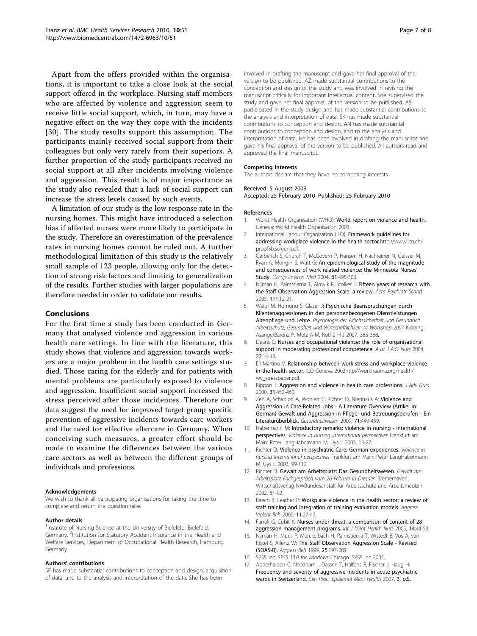<span id="page-6-0"></span>Apart from the offers provided within the organisations, it is important to take a close look at the social support offered in the workplace. Nursing staff members who are affected by violence and aggression seem to receive little social support, which, in turn, may have a negative effect on the way they cope with the incidents [[30\]](#page-7-0). The study results support this assumption. The participants mainly received social support from their colleagues but only very rarely from their superiors. A further proportion of the study participants received no social support at all after incidents involving violence and aggression. This result is of major importance as the study also revealed that a lack of social support can increase the stress levels caused by such events.

A limitation of our study is the low response rate in the nursing homes. This might have introduced a selection bias if affected nurses were more likely to participate in the study. Therefore an overestimation of the prevalence rates in nursing homes cannot be ruled out. A further methodological limitation of this study is the relatively small sample of 123 people, allowing only for the detection of strong risk factors and limiting to generalization of the results. Further studies with larger populations are therefore needed in order to validate our results.

#### Conclusions

For the first time a study has been conducted in Germany that analysed violence and aggression in various health care settings. In line with the literature, this study shows that violence and aggression towards workers are a major problem in the health care settings studied. Those caring for the elderly and for patients with mental problems are particularly exposed to violence and aggression. Insufficient social support increased the stress perceived after those incidences. Therefore our data suggest the need for improved target group specific prevention of aggressive incidents towards care workers and the need for effective aftercare in Germany. When conceiving such measures, a greater effort should be made to examine the differences between the various care sectors as well as between the different groups of individuals and professions.

#### Acknowledgements

We wish to thank all participating organisations for taking the time to complete and return the questionnaire.

#### Author details

<sup>1</sup>Institute of Nursing Science at the University of Bielefeld, Bielefeld, Germany. <sup>2</sup>Institution for Statutory Accident Insurance in the Health and Welfare Services, Department of Occupational Health Research, Hamburg, Germany.

#### Authors' contributions

SF has made substantial contributions to conception and design, acquisition of data, and to the analysis and interpretation of the data. She has been

involved in drafting the manuscript and gave her final approval of the version to be published. AZ made substantial contributions to the conception and design of the study and was involved in revising the manuscript critically for important intellectual content. She supervised the study and gave her final approval of the version to be published. AS participated in the study design and has made substantial contributions to the analysis and interpretation of data. SK has made substantial contributions to conception and design. AN has made substantial contributions to conception and design, and to the analysis and interpretation of data. He has been involved in drafting the manuscript and gave his final approval of the version to be published. All authors read and approved the final manuscript.

#### Competing interests

The authors declare that they have no competing interests.

#### Received: 5 August 2009

Accepted: 25 February 2010 Published: 25 February 2010

#### References

- World Health Organisation (WHO): World report on violence and health. Geneva: World Health Organisation 2003.
- 2. International Labour Organization (ILO): Framework guidelines for addressing workplace violence in the health sector.[http://www.icn.ch/](http://www.icn.ch/proof3b.screen.pdf) [proof3b.screen.pdf](http://www.icn.ch/proof3b.screen.pdf).
- 3. Gerberich S, Church T, McGovern P, Hansen H, Nachreiner N, Geisser M, Ryan A, Mongin S, Watt G: [An epidemiological study of the magnitude](http://www.ncbi.nlm.nih.gov/pubmed/15150388?dopt=Abstract) [and consequences of work related violence: the Minnesota Nurses](http://www.ncbi.nlm.nih.gov/pubmed/15150388?dopt=Abstract)' [Study.](http://www.ncbi.nlm.nih.gov/pubmed/15150388?dopt=Abstract) Occup Environ Med 2004, 61:495-503.
- 4. Nijman H, Palmstierna T, Almvik R, Stolker J: [Fifteen years of research with](http://www.ncbi.nlm.nih.gov/pubmed/15636589?dopt=Abstract) [the Staff Observation Aggression Scale: a review.](http://www.ncbi.nlm.nih.gov/pubmed/15636589?dopt=Abstract) Acta Psychiatr Scand 2005, 111:12-21.
- 5. Weigl M, Hornung S, Glaser J: Psychische Beanspruchungen durch Klientenaggressionen in den personenbezogenen Dienstleistungen Altenpflege und Lehre. Psychologie der Arbeitssicherheit und Gesundheit Arbeitsschutz, Gesundheit und Wirtschaftlichkeit 14 Workshop 2007 Kröning: AsangerBärenz P, Metz A-M, Rothe H-J 2007, 385-388.
- 6. Deans C: [Nurses and occupational violence: the role of organisational](http://www.ncbi.nlm.nih.gov/pubmed/16499242?dopt=Abstract) [support in moderating professional competence.](http://www.ncbi.nlm.nih.gov/pubmed/16499242?dopt=Abstract) Aust J Adv Nurs 2004, 22:14-18.
- 7. Di Martino V: Relationship between work stress and workplace violence in the health sector. ILO Geneva 200[2http://worktrauma.org/health/](http://worktrauma.org/health/wv_stresspaper.pdf) [wv\\_stresspaper.pdf.](http://worktrauma.org/health/wv_stresspaper.pdf)
- 8. Rippon T: [Aggression and violence in health care professions.](http://www.ncbi.nlm.nih.gov/pubmed/10672105?dopt=Abstract) J Adv Nurs 2000, 31:452-460.
- 9. Zeh A, Schablon A, Wohlert C, Richter D, Nienhaus A: Violence and Aggression in Care-Related Jobs - A Literature Overview (Artikel in German) Gewalt und Aggression in Pflege- und Betreuungsberufen - Ein Literaturüberblick. Gesundheitwesen 2009, 71:449-459.
- 10. Habermann M: Introductory remarks: violence in nursing international perspectives. Violence in nursing International perspectives Frankfurt am Main: Peter LangHabermann M, Uys L 2003, 13-27.
- 11. Richter D: Violence in psychiatric Care: German experiences. Violence in nursing International perspectives Frankfurt am Main: Peter LangHabermann M, Uys L 2003, 99-112.
- 12. Richter D: Gewalt am Arbeitsplatz: Das Gesundheitswesen. Gewalt am Arbeitsplatz Fachgespräch vom 26 Februar in Dresden Bremerhaven: Wirtschaftsverlag NWBundesanstalt für Arbeitsschutz und Arbeitsmedizin 2002, 81-92.
- 13. Beech B, Leather P: Workplace violence in the health sector: a review of staff training and integration of training evaluation models. Aggress Violent Beh 2006, 11:27-43.
- 14. Farrell G, Cubit K: [Nurses under threat: a comparison of content of 28](http://www.ncbi.nlm.nih.gov/pubmed/15733285?dopt=Abstract) [aggression management programs.](http://www.ncbi.nlm.nih.gov/pubmed/15733285?dopt=Abstract) Int J Ment Health Nurs 2005, 14:44-53.
- 15. Nijman H, Muris P, Merckelbach H, Palmstierna T, Wistedt B, Vos A, van Rixtel S, Allertz W: The Staff Observation Aggression Scale - Revised (SOAS-R). Aggress Beh 1999, 25:197-209.
- 16. SPSS Inc: SPSS 13.0 for Windows Chicago: SPSS Inc 2005.
- 17. Abderhalden C, Needham I, Dassen T, Halfens R, Fischer J, Haug H: [Frequency and severity of aggressive incidents in acute psychiatric](http://www.ncbi.nlm.nih.gov/pubmed/18053203?dopt=Abstract) [wards in Switzerland.](http://www.ncbi.nlm.nih.gov/pubmed/18053203?dopt=Abstract) Clin Pract Epidemol Ment Health 2007, 3, o.S.